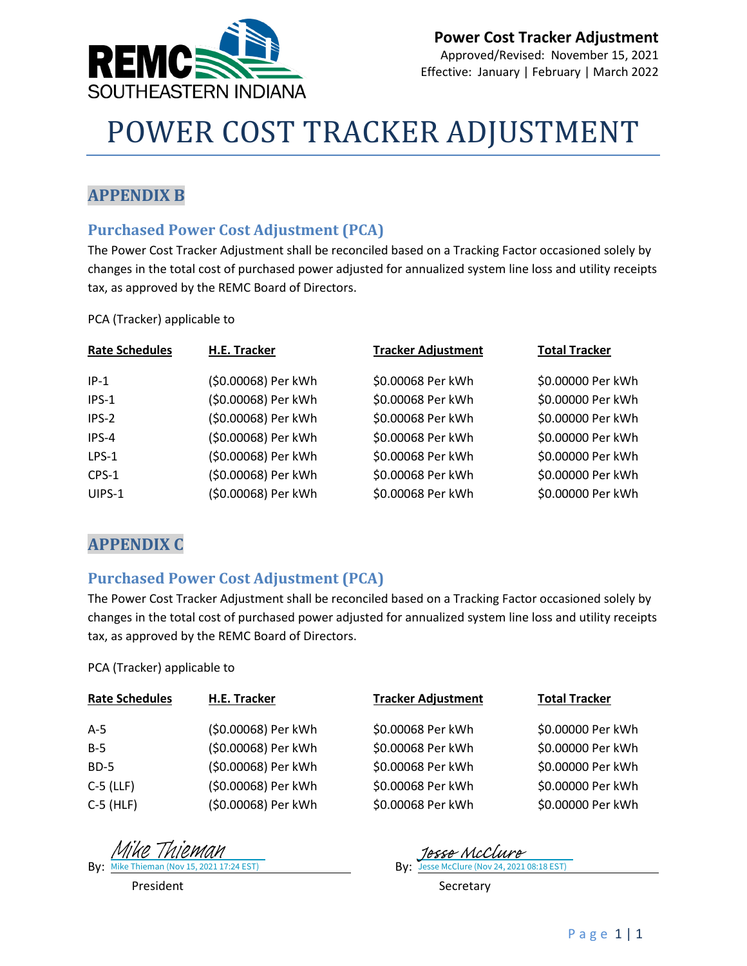

# POWER COST TRACKER ADJUSTMENT

### **APPENDIX B**

#### **Purchased Power Cost Adjustment (PCA)**

The Power Cost Tracker Adjustment shall be reconciled based on a Tracking Factor occasioned solely by changes in the total cost of purchased power adjusted for annualized system line loss and utility receipts tax, as approved by the REMC Board of Directors.

PCA (Tracker) applicable to

| <b>Rate Schedules</b> | H.E. Tracker        | <b>Tracker Adjustment</b> | <b>Total Tracker</b> |
|-----------------------|---------------------|---------------------------|----------------------|
| $IP-1$                | (\$0.00068) Per kWh | \$0.00068 Per kWh         | \$0.00000 Per kWh    |
| IPS-1                 | (\$0.00068) Per kWh | \$0.00068 Per kWh         | \$0.00000 Per kWh    |
| $IPS-2$               | (\$0.00068) Per kWh | \$0.00068 Per kWh         | \$0.00000 Per kWh    |
| IPS-4                 | (\$0.00068) Per kWh | \$0.00068 Per kWh         | \$0.00000 Per kWh    |
| LPS-1                 | (\$0.00068) Per kWh | \$0.00068 Per kWh         | \$0.00000 Per kWh    |
| CPS-1                 | (\$0.00068) Per kWh | \$0.00068 Per kWh         | \$0.00000 Per kWh    |
| UIPS-1                | (\$0.00068) Per kWh | \$0.00068 Per kWh         | \$0.00000 Per kWh    |

### **APPENDIX C**

#### **Purchased Power Cost Adjustment (PCA)**

The Power Cost Tracker Adjustment shall be reconciled based on a Tracking Factor occasioned solely by changes in the total cost of purchased power adjusted for annualized system line loss and utility receipts tax, as approved by the REMC Board of Directors.

PCA (Tracker) applicable to

| <b>Rate Schedules</b> | H.E. Tracker        | <b>Tracker Adjustment</b> | <b>Total Tracker</b> |
|-----------------------|---------------------|---------------------------|----------------------|
| A-5                   | (\$0.00068) Per kWh | \$0.00068 Per kWh         | \$0.00000 Per kWh    |
| $B-5$                 | (\$0.00068) Per kWh | \$0.00068 Per kWh         | \$0.00000 Per kWh    |
| <b>BD-5</b>           | (\$0.00068) Per kWh | \$0.00068 Per kWh         | \$0.00000 Per kWh    |
| $C-5$ (LLF)           | (\$0.00068) Per kWh | \$0.00068 Per kWh         | \$0.00000 Per kWh    |
| $C-5$ (HLF)           | (\$0.00068) Per kWh | \$0.00068 Per kWh         | \$0.00000 Per kWh    |

By: Mike Thieman (Nov 15, 2021 17:24 EST) By: By: Mike Thieman (Nov 15, 2021 17:24 EST) Mike Thieman

**By:** Jesse McClure (Nov 24, 2021 08:18 EST) 1esse McClu

President **Secretary**